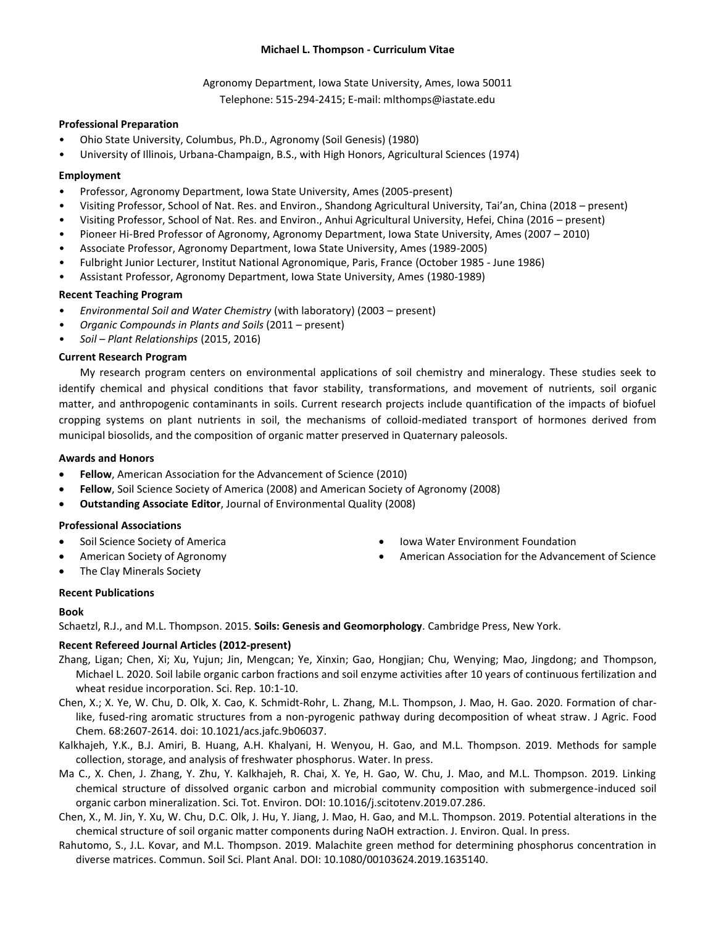## **Michael L. Thompson - Curriculum Vitae**

Agronomy Department, Iowa State University, Ames, Iowa 50011 Telephone: 515-294-2415; E-mail: mlthomps@iastate.edu

## **Professional Preparation**

- Ohio State University, Columbus, Ph.D., Agronomy (Soil Genesis) (1980)
- University of Illinois, Urbana-Champaign, B.S., with High Honors, Agricultural Sciences (1974)

### **Employment**

- Professor, Agronomy Department, Iowa State University, Ames (2005-present)
- Visiting Professor, School of Nat. Res. and Environ., Shandong Agricultural University, Tai'an, China (2018 present)
- Visiting Professor, School of Nat. Res. and Environ., Anhui Agricultural University, Hefei, China (2016 present)
- Pioneer Hi-Bred Professor of Agronomy, Agronomy Department, Iowa State University, Ames (2007 2010)
- Associate Professor, Agronomy Department, Iowa State University, Ames (1989-2005)
- Fulbright Junior Lecturer, Institut National Agronomique, Paris, France (October 1985 June 1986)
- Assistant Professor, Agronomy Department, Iowa State University, Ames (1980-1989)

## **Recent Teaching Program**

- *Environmental Soil and Water Chemistry* (with laboratory) (2003 present)
- *Organic Compounds in Plants and Soils* (2011 present)
- *Soil – Plant Relationships* (2015, 2016)

### **Current Research Program**

My research program centers on environmental applications of soil chemistry and mineralogy. These studies seek to identify chemical and physical conditions that favor stability, transformations, and movement of nutrients, soil organic matter, and anthropogenic contaminants in soils. Current research projects include quantification of the impacts of biofuel cropping systems on plant nutrients in soil, the mechanisms of colloid-mediated transport of hormones derived from municipal biosolids, and the composition of organic matter preserved in Quaternary paleosols.

#### **Awards and Honors**

- **Fellow**, American Association for the Advancement of Science (2010)
- **Fellow**, Soil Science Society of America (2008) and American Society of Agronomy (2008)
- **Outstanding Associate Editor**, Journal of Environmental Quality (2008)

## **Professional Associations**

- Soil Science Society of America
- American Society of Agronomy
- The Clay Minerals Society
- Iowa Water Environment Foundation
- American Association for the Advancement of Science

# **Recent Publications**

#### **Book**

Schaetzl, R.J., and M.L. Thompson. 2015. **Soils: Genesis and Geomorphology**. Cambridge Press, New York.

# **Recent Refereed Journal Articles (2012-present)**

- Zhang, Ligan; Chen, Xi; Xu, Yujun; Jin, Mengcan; Ye, Xinxin; Gao, Hongjian; Chu, Wenying; Mao, Jingdong; and Thompson, Michael L. 2020. Soil labile organic carbon fractions and soil enzyme activities after 10 years of continuous fertilization and wheat residue incorporation. Sci. Rep. 10:1-10.
- Chen, X.; X. Ye, W. Chu, D. Olk, X. Cao, K. Schmidt-Rohr, L. Zhang, M.L. Thompson, J. Mao, H. Gao. 2020. Formation of charlike, fused-ring aromatic structures from a non-pyrogenic pathway during decomposition of wheat straw. J Agric. Food Chem. 68:2607-2614. doi: 10.1021/acs.jafc.9b06037.
- Kalkhajeh, Y.K., B.J. Amiri, B. Huang, A.H. Khalyani, H. Wenyou, H. Gao, and M.L. Thompson. 2019. Methods for sample collection, storage, and analysis of freshwater phosphorus. Water. In press.
- Ma C., X. Chen, J. Zhang, Y. Zhu, Y. Kalkhajeh, R. Chai, X. Ye, H. Gao, W. Chu, J. Mao, and M.L. Thompson. 2019. Linking chemical structure of dissolved organic carbon and microbial community composition with submergence-induced soil organic carbon mineralization. Sci. Tot. Environ. DOI: 10.1016/j.scitotenv.2019.07.286.
- Chen, X., M. Jin, Y. Xu, W. Chu, D.C. Olk, J. Hu, Y. Jiang, J. Mao, H. Gao, and M.L. Thompson. 2019. Potential alterations in the chemical structure of soil organic matter components during NaOH extraction. J. Environ. Qual. In press.
- Rahutomo, S., J.L. Kovar, and M.L. Thompson. 2019. Malachite green method for determining phosphorus concentration in diverse matrices. Commun. Soil Sci. Plant Anal. DOI: 10.1080/00103624.2019.1635140.